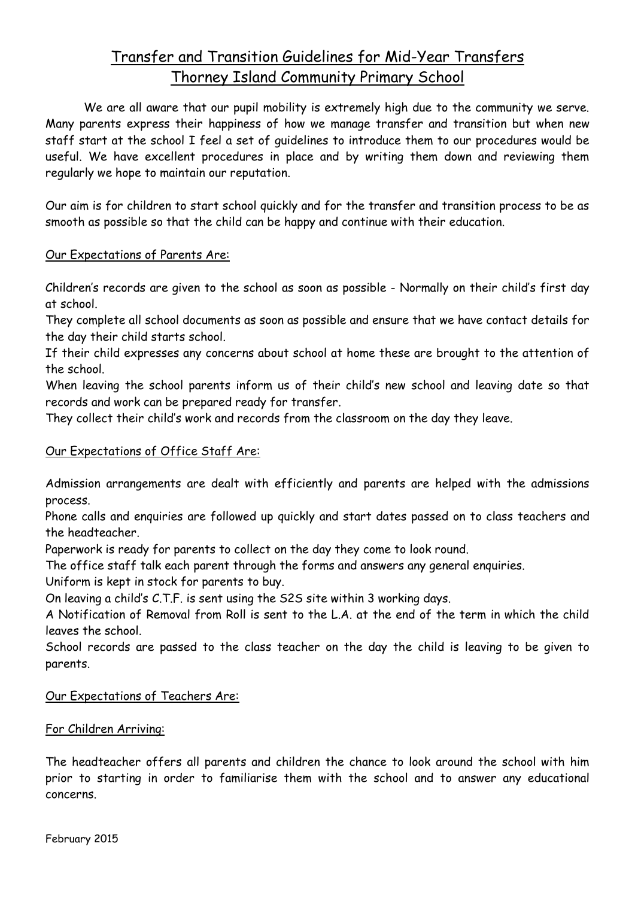# Transfer and Transition Guidelines for Mid-Year Transfers Thorney Island Community Primary School

We are all aware that our pupil mobility is extremely high due to the community we serve. Many parents express their happiness of how we manage transfer and transition but when new staff start at the school I feel a set of guidelines to introduce them to our procedures would be useful. We have excellent procedures in place and by writing them down and reviewing them regularly we hope to maintain our reputation.

Our aim is for children to start school quickly and for the transfer and transition process to be as smooth as possible so that the child can be happy and continue with their education.

#### Our Expectations of Parents Are:

Children's records are given to the school as soon as possible - Normally on their child's first day at school.

They complete all school documents as soon as possible and ensure that we have contact details for the day their child starts school.

If their child expresses any concerns about school at home these are brought to the attention of the school.

When leaving the school parents inform us of their child's new school and leaving date so that records and work can be prepared ready for transfer.

They collect their child's work and records from the classroom on the day they leave.

### Our Expectations of Office Staff Are:

Admission arrangements are dealt with efficiently and parents are helped with the admissions process.

Phone calls and enquiries are followed up quickly and start dates passed on to class teachers and the headteacher.

Paperwork is ready for parents to collect on the day they come to look round.

The office staff talk each parent through the forms and answers any general enquiries.

Uniform is kept in stock for parents to buy.

On leaving a child's C.T.F. is sent using the S2S site within 3 working days.

A Notification of Removal from Roll is sent to the L.A. at the end of the term in which the child leaves the school.

School records are passed to the class teacher on the day the child is leaving to be given to parents.

### Our Expectations of Teachers Are:

### For Children Arriving:

The headteacher offers all parents and children the chance to look around the school with him prior to starting in order to familiarise them with the school and to answer any educational concerns.